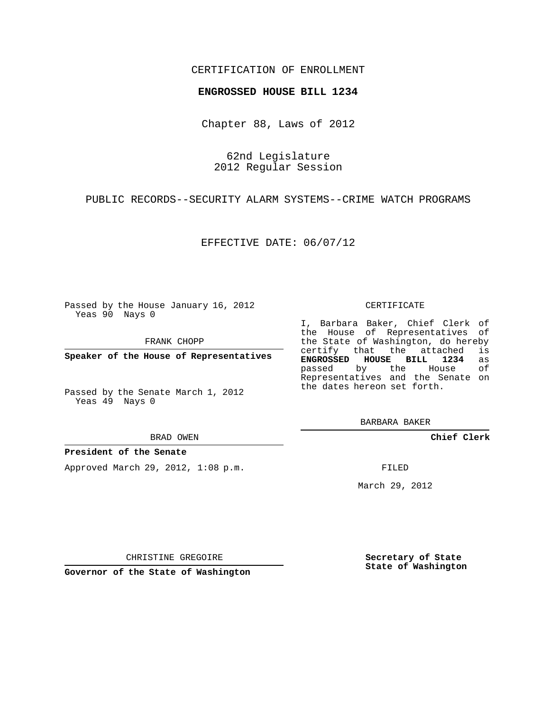### CERTIFICATION OF ENROLLMENT

#### **ENGROSSED HOUSE BILL 1234**

Chapter 88, Laws of 2012

62nd Legislature 2012 Regular Session

PUBLIC RECORDS--SECURITY ALARM SYSTEMS--CRIME WATCH PROGRAMS

EFFECTIVE DATE: 06/07/12

Passed by the House January 16, 2012 Yeas 90 Nays 0

FRANK CHOPP

**Speaker of the House of Representatives**

Passed by the Senate March 1, 2012 Yeas 49 Nays 0

BRAD OWEN

#### **President of the Senate**

Approved March 29, 2012, 1:08 p.m.

CERTIFICATE

I, Barbara Baker, Chief Clerk of the House of Representatives of the State of Washington, do hereby<br>certify that the attached is certify that the attached **ENGROSSED HOUSE BILL 1234** as passed by the House Representatives and the Senate on the dates hereon set forth.

BARBARA BAKER

**Chief Clerk**

FILED

March 29, 2012

**Secretary of State State of Washington**

CHRISTINE GREGOIRE

**Governor of the State of Washington**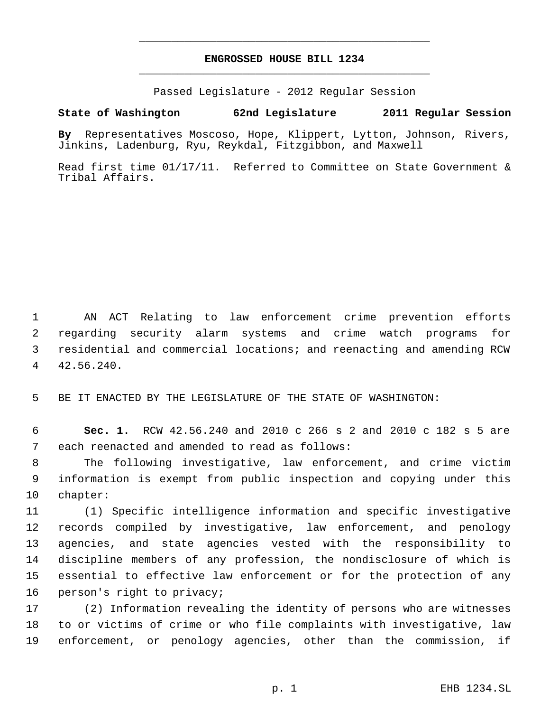# **ENGROSSED HOUSE BILL 1234** \_\_\_\_\_\_\_\_\_\_\_\_\_\_\_\_\_\_\_\_\_\_\_\_\_\_\_\_\_\_\_\_\_\_\_\_\_\_\_\_\_\_\_\_\_

\_\_\_\_\_\_\_\_\_\_\_\_\_\_\_\_\_\_\_\_\_\_\_\_\_\_\_\_\_\_\_\_\_\_\_\_\_\_\_\_\_\_\_\_\_

Passed Legislature - 2012 Regular Session

## **State of Washington 62nd Legislature 2011 Regular Session**

**By** Representatives Moscoso, Hope, Klippert, Lytton, Johnson, Rivers, Jinkins, Ladenburg, Ryu, Reykdal, Fitzgibbon, and Maxwell

Read first time 01/17/11. Referred to Committee on State Government & Tribal Affairs.

 AN ACT Relating to law enforcement crime prevention efforts regarding security alarm systems and crime watch programs for residential and commercial locations; and reenacting and amending RCW 42.56.240.

BE IT ENACTED BY THE LEGISLATURE OF THE STATE OF WASHINGTON:

 **Sec. 1.** RCW 42.56.240 and 2010 c 266 s 2 and 2010 c 182 s 5 are each reenacted and amended to read as follows:

 The following investigative, law enforcement, and crime victim information is exempt from public inspection and copying under this chapter:

 (1) Specific intelligence information and specific investigative records compiled by investigative, law enforcement, and penology agencies, and state agencies vested with the responsibility to discipline members of any profession, the nondisclosure of which is essential to effective law enforcement or for the protection of any person's right to privacy;

 (2) Information revealing the identity of persons who are witnesses to or victims of crime or who file complaints with investigative, law enforcement, or penology agencies, other than the commission, if